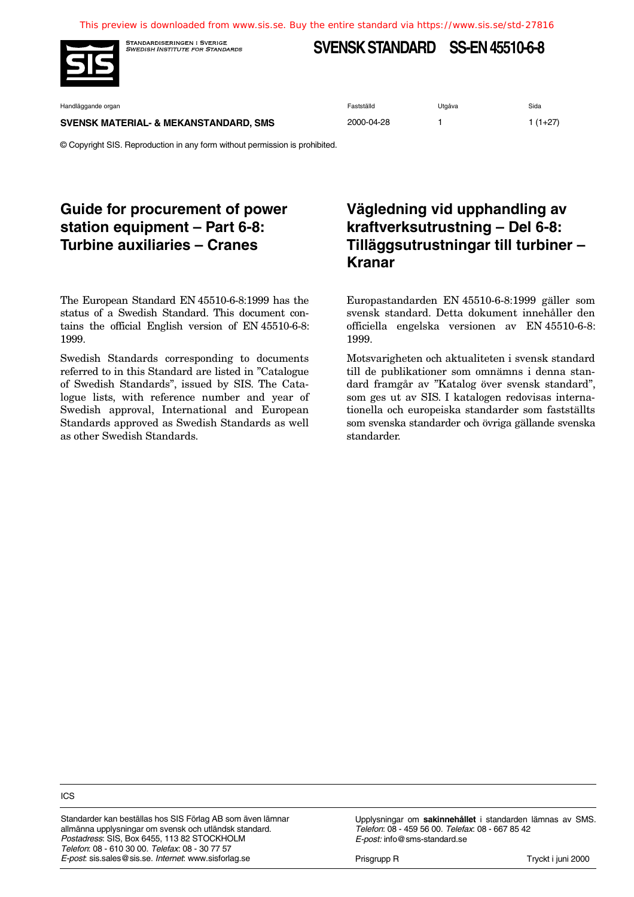

STANDARDISERINGEN I SVERIGE **SWEDISH INSTITUTE FOR STANDARDS** 

# **SVENSK STANDARD SS-EN 45510-6-8**

Handläggande organ Fastställd Utgåva Sida

**SVENSK MATERIAL- & MEKANSTANDARD, SMS** 2000-04-28 1 1 (1+27)

© Copyright SIS. Reproduction in any form without permission is prohibited.

# **Guide for procurement of power station equipment – Part 6-8: Turbine auxiliaries – Cranes**

The European Standard EN 45510-6-8:1999 has the status of a Swedish Standard. This document contains the official English version of EN 45510-6-8: 1999.

Swedish Standards corresponding to documents referred to in this Standard are listed in "Catalogue of Swedish Standards", issued by SIS. The Catalogue lists, with reference number and year of Swedish approval, International and European Standards approved as Swedish Standards as well as other Swedish Standards.

# **Vägledning vid upphandling av kraftverksutrustning – Del 6-8: Tilläggsutrustningar till turbiner – Kranar**

Europastandarden EN 45510-6-8:1999 gäller som svensk standard. Detta dokument innehåller den officiella engelska versionen av EN 45510-6-8: 1999.

Motsvarigheten och aktualiteten i svensk standard till de publikationer som omnämns i denna standard framgår av "Katalog över svensk standard", som ges ut av SIS. I katalogen redovisas internationella och europeiska standarder som fastställts som svenska standarder och övriga gällande svenska standarder.

ICS

Standarder kan beställas hos SIS Förlag AB som även lämnar allmänna upplysningar om svensk och utländsk standard. *Postadress*: SIS, Box 6455, 113 82 STOCKHOLM *Telefon*: 08 - 610 30 00. *Telefax*: 08 - 30 77 57 *E-post*: sis.sales@sis.se. *Internet*: www.sisforlag.se

Upplysningar om **sakinnehållet** i standarden lämnas av SMS. *Telefon*: 08 - 459 56 00. *Telefax*: 08 - 667 85 42 *E-post:* info@sms-standard.se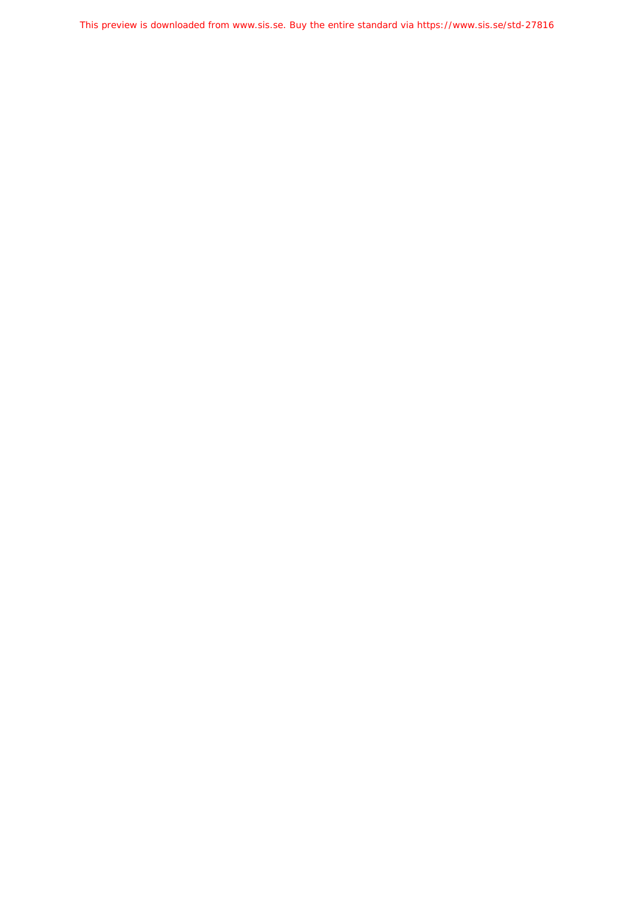This preview is downloaded from www.sis.se. Buy the entire standard via https://www.sis.se/std-27816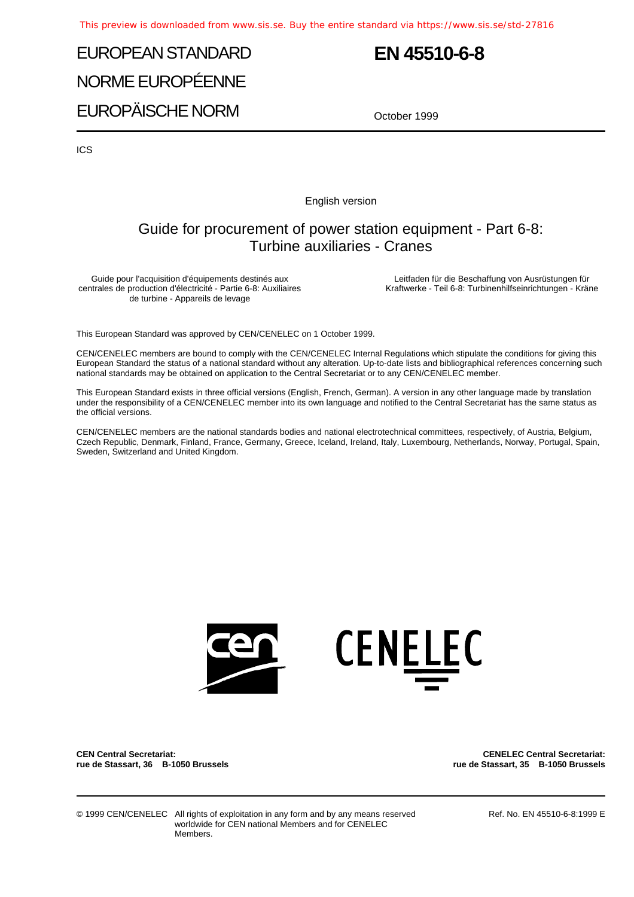# EUROPEAN STANDARD NORME EUROPÉENNE EUROPÄISCHE NORM

# **EN 45510-6-8**

October 1999

ICS

English version

# Guide for procurement of power station equipment - Part 6-8: Turbine auxiliaries - Cranes

Guide pour l'acquisition d'équipements destinés aux centrales de production d'électricité - Partie 6-8: Auxiliaires de turbine - Appareils de levage

Leitfaden für die Beschaffung von Ausrüstungen für Kraftwerke - Teil 6-8: Turbinenhilfseinrichtungen - Kräne

This European Standard was approved by CEN/CENELEC on 1 October 1999.

CEN/CENELEC members are bound to comply with the CEN/CENELEC Internal Regulations which stipulate the conditions for giving this European Standard the status of a national standard without any alteration. Up-to-date lists and bibliographical references concerning such national standards may be obtained on application to the Central Secretariat or to any CEN/CENELEC member.

This European Standard exists in three official versions (English, French, German). A version in any other language made by translation under the responsibility of a CEN/CENELEC member into its own language and notified to the Central Secretariat has the same status as the official versions.

CEN/CENELEC members are the national standards bodies and national electrotechnical committees, respectively, of Austria, Belgium, Czech Republic, Denmark, Finland, France, Germany, Greece, Iceland, Ireland, Italy, Luxembourg, Netherlands, Norway, Portugal, Spain, Sweden, Switzerland and United Kingdom.



**CEN Central Secretariat: CENELEC Central Secretariat:**

**rue de Stassart, 36 B-1050 Brussels rue de Stassart, 35 B-1050 Brussels**

© 1999 CEN/CENELEC All rights of exploitation in any form and by any means reserved worldwide for CEN national Members and for CENELEC Members.

Ref. No. EN 45510-6-8:1999 E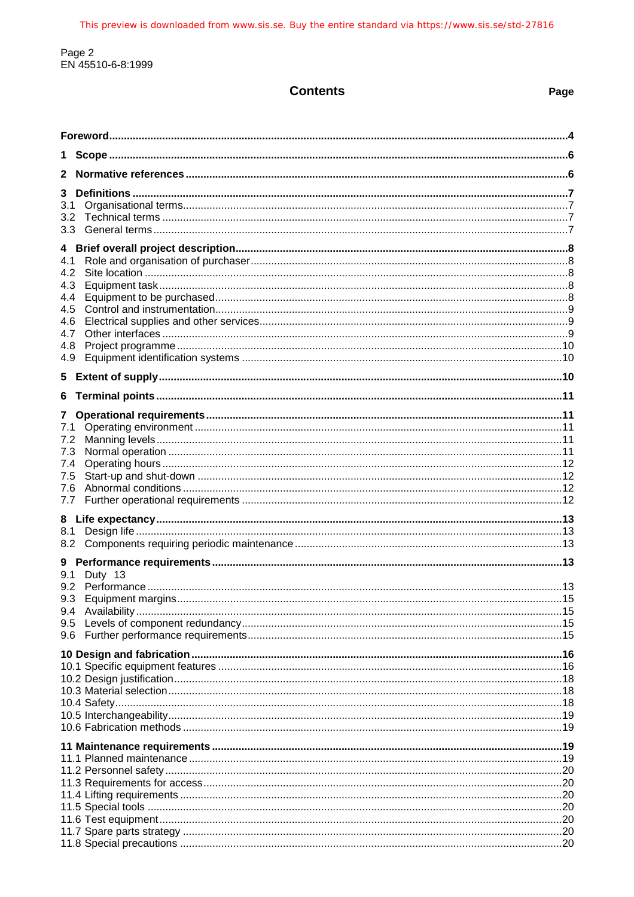Page 2<br>EN 45510-6-8:1999

# **Contents**

| 1                                                                                                                  |  |  |
|--------------------------------------------------------------------------------------------------------------------|--|--|
| $\mathbf{2}$                                                                                                       |  |  |
| 3<br>3.1<br>3.2<br>3.3                                                                                             |  |  |
| 4<br>4.1<br>4.2<br>4.3<br>4.4<br>4.5<br>4.6<br>4.7<br>4.8<br>4.9<br>5<br>6<br>7<br>7.1<br>7.2<br>7.3<br>7.4<br>7.5 |  |  |
| 7.6<br>7.7<br>8<br>8.1<br>8.2                                                                                      |  |  |
| 9.1<br>Duty 13<br>9.2<br>9.3<br>9.5<br>9.6                                                                         |  |  |
|                                                                                                                    |  |  |
|                                                                                                                    |  |  |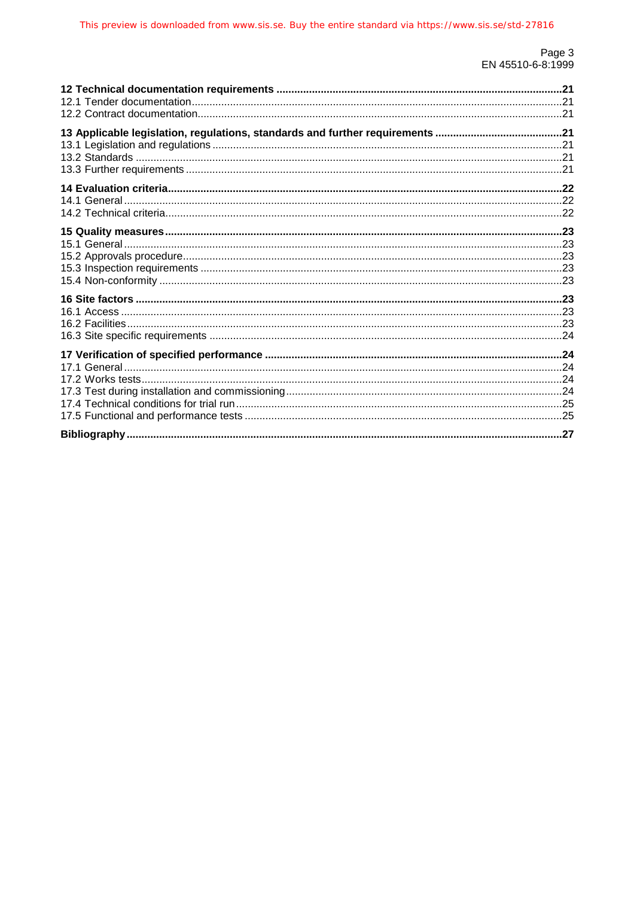Page 3 EN 45510-6-8:1999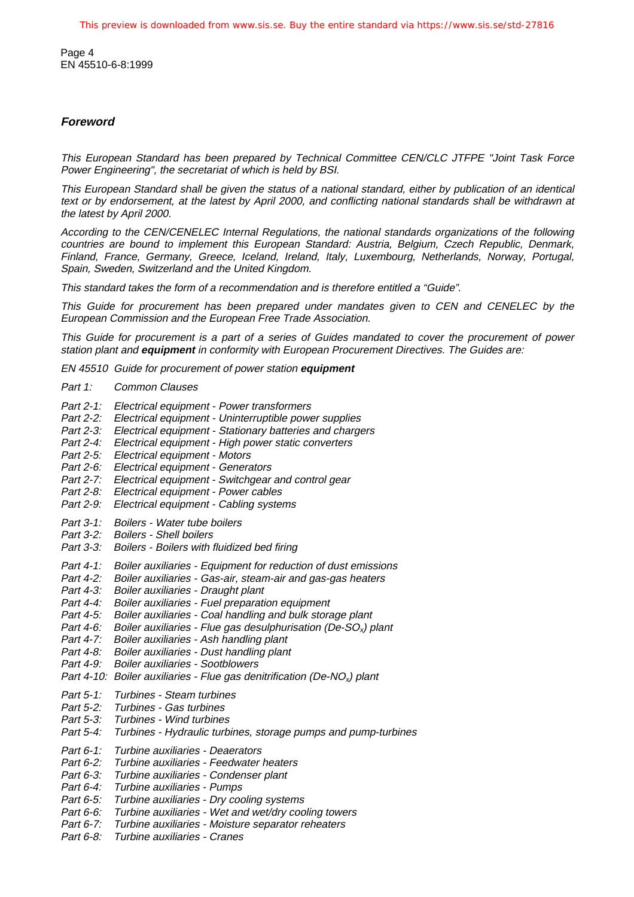Page 4 EN 45510-6-8:1999

#### **Foreword**

This European Standard has been prepared by Technical Committee CEN/CLC JTFPE "Joint Task Force Power Engineering", the secretariat of which is held by BSI.

This European Standard shall be given the status of a national standard, either by publication of an identical text or by endorsement, at the latest by April 2000, and conflicting national standards shall be withdrawn at the latest by April 2000.

According to the CEN/CENELEC Internal Regulations, the national standards organizations of the following countries are bound to implement this European Standard: Austria, Belgium, Czech Republic, Denmark, Finland, France, Germany, Greece, Iceland, Ireland, Italy, Luxembourg, Netherlands, Norway, Portugal, Spain, Sweden, Switzerland and the United Kingdom.

This standard takes the form of a recommendation and is therefore entitled a "Guide".

This Guide for procurement has been prepared under mandates given to CEN and CENELEC by the European Commission and the European Free Trade Association.

This Guide for procurement is a part of a series of Guides mandated to cover the procurement of power station plant and **equipment** in conformity with European Procurement Directives. The Guides are:

EN 45510 Guide for procurement of power station **equipment**

#### Part 1: Common Clauses

- Part 2-1: Electrical equipment Power transformers
- Part 2-2: Electrical equipment Uninterruptible power supplies
- Part 2-3: Electrical equipment Stationary batteries and chargers
- Part 2-4: Electrical equipment High power static converters
- Part 2-5: Electrical equipment Motors
- Part 2-6: Electrical equipment Generators
- Part 2-7: Electrical equipment Switchgear and control gear
- Part 2-8: Electrical equipment Power cables
- Part 2-9: Electrical equipment Cabling systems
- Part 3-1: Boilers Water tube boilers
- Part 3-2: Boilers Shell boilers
- Part 3-3: Boilers Boilers with fluidized bed firing
- Part 4-1: Boiler auxiliaries Equipment for reduction of dust emissions
- Part 4-2: Boiler auxiliaries Gas-air, steam-air and gas-gas heaters
- Part 4-3: Boiler auxiliaries Draught plant
- Part 4-4: Boiler auxiliaries Fuel preparation equipment
- Part 4-5: Boiler auxiliaries Coal handling and bulk storage plant
- Part 4-6:  $\;$  Boiler auxiliaries Flue gas desulphurisation (De-SO $_{\mathrm{\sf x}}$ ) plant
- Part 4-7: Boiler auxiliaries Ash handling plant
- Part 4-8: Boiler auxiliaries Dust handling plant
- Part 4-9: Boiler auxiliaries Sootblowers
- Part 4-10: Boiler auxiliaries Flue gas denitrification (De-NO<sub>x</sub>) plant
- Part 5-1: Turbines Steam turbines
- Part 5-2: Turbines Gas turbines
- Part 5-3: Turbines Wind turbines
- Part 5-4: Turbines Hydraulic turbines, storage pumps and pump-turbines
- Part 6-1: Turbine auxiliaries Deaerators
- Part 6-2: Turbine auxiliaries Feedwater heaters
- Part 6-3: Turbine auxiliaries Condenser plant
- Part 6-4: Turbine auxiliaries Pumps
- Part 6-5: Turbine auxiliaries Dry cooling systems
- Part 6-6: Turbine auxiliaries Wet and wet/dry cooling towers
- Part 6-7: Turbine auxiliaries Moisture separator reheaters
- Part 6-8: Turbine auxiliaries Cranes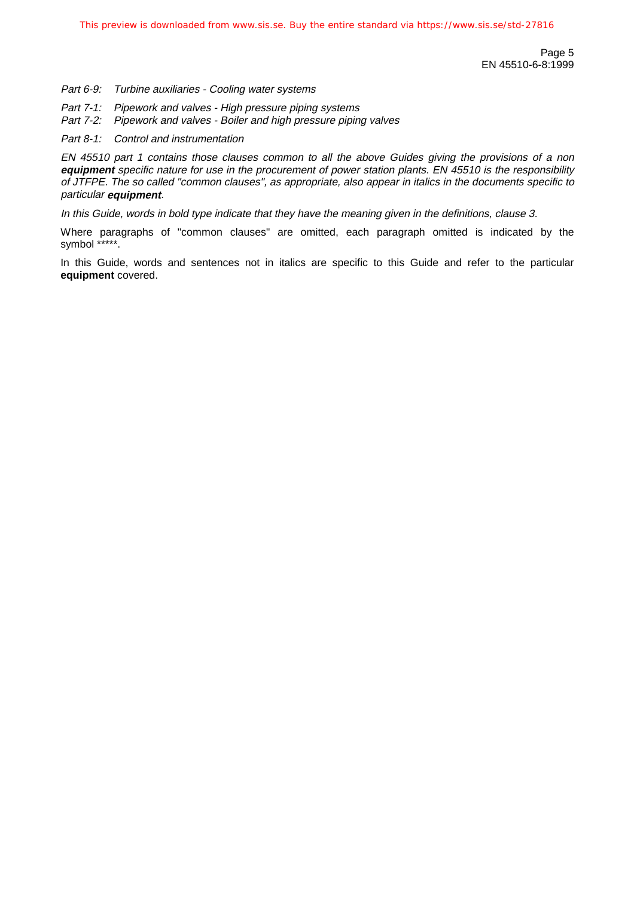Page 5 EN 45510-6-8:1999

Part 6-9: Turbine auxiliaries - Cooling water systems

- Part 7-1: Pipework and valves High pressure piping systems
- Part 7-2: Pipework and valves Boiler and high pressure piping valves

Part 8-1: Control and instrumentation

EN 45510 part 1 contains those clauses common to all the above Guides giving the provisions of a non **equipment** specific nature for use in the procurement of power station plants. EN 45510 is the responsibility of JTFPE. The so called "common clauses", as appropriate, also appear in italics in the documents specific to particular **equipment**.

In this Guide, words in bold type indicate that they have the meaning given in the definitions, clause 3.

Where paragraphs of "common clauses" are omitted, each paragraph omitted is indicated by the symbol \*\*\*\*\*.

In this Guide, words and sentences not in italics are specific to this Guide and refer to the particular **equipment** covered.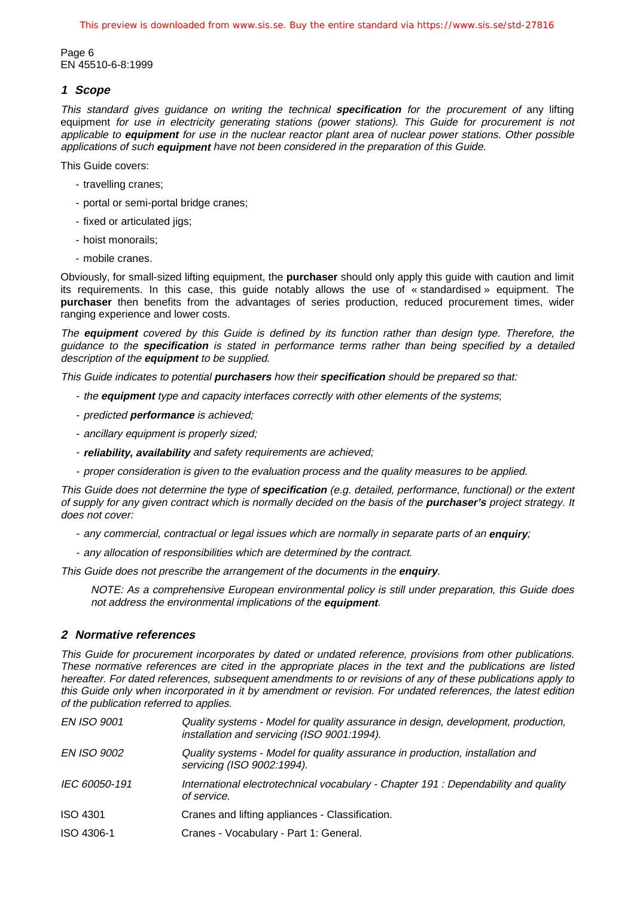Page 6 EN 45510-6-8:1999

## **1 Scope**

This standard gives guidance on writing the technical **specification** for the procurement of any lifting equipment for use in electricity generating stations (power stations). This Guide for procurement is not applicable to **equipment** for use in the nuclear reactor plant area of nuclear power stations. Other possible applications of such **equipment** have not been considered in the preparation of this Guide.

This Guide covers:

- travelling cranes;
- portal or semi-portal bridge cranes;
- fixed or articulated jigs;
- hoist monorails;
- mobile cranes.

Obviously, for small-sized lifting equipment, the **purchaser** should only apply this guide with caution and limit its requirements. In this case, this guide notably allows the use of « standardised » equipment. The **purchaser** then benefits from the advantages of series production, reduced procurement times, wider ranging experience and lower costs.

The **equipment** covered by this Guide is defined by its function rather than design type. Therefore, the guidance to the **specification** is stated in performance terms rather than being specified by a detailed description of the **equipment** to be supplied.

This Guide indicates to potential **purchasers** how their **specification** should be prepared so that:

- the **equipment** type and capacity interfaces correctly with other elements of the systems;
- predicted **performance** is achieved;
- ancillary equipment is properly sized;
- **reliability, availability** and safety requirements are achieved;
- proper consideration is given to the evaluation process and the quality measures to be applied.

This Guide does not determine the type of **specification** (e.g. detailed, performance, functional) or the extent of supply for any given contract which is normally decided on the basis of the **purchaser's** project strategy. It does not cover:

- any commercial, contractual or legal issues which are normally in separate parts of an **enquiry**;
- any allocation of responsibilities which are determined by the contract.

This Guide does not prescribe the arrangement of the documents in the **enquiry**.

NOTE: As a comprehensive European environmental policy is still under preparation, this Guide does not address the environmental implications of the **equipment**.

#### **2 Normative references**

This Guide for procurement incorporates by dated or undated reference, provisions from other publications. These normative references are cited in the appropriate places in the text and the publications are listed hereafter. For dated references, subsequent amendments to or revisions of any of these publications apply to this Guide only when incorporated in it by amendment or revision. For undated references, the latest edition of the publication referred to applies.

| <b>EN ISO 9001</b> | Quality systems - Model for quality assurance in design, development, production,<br>installation and servicing (ISO 9001:1994). |
|--------------------|----------------------------------------------------------------------------------------------------------------------------------|
| <b>EN ISO 9002</b> | Quality systems - Model for quality assurance in production, installation and<br>servicing (ISO 9002:1994).                      |
| IEC 60050-191      | International electrotechnical vocabulary - Chapter 191: Dependability and quality<br>of service.                                |
| <b>ISO 4301</b>    | Cranes and lifting appliances - Classification.                                                                                  |
| ISO 4306-1         | Cranes - Vocabulary - Part 1: General.                                                                                           |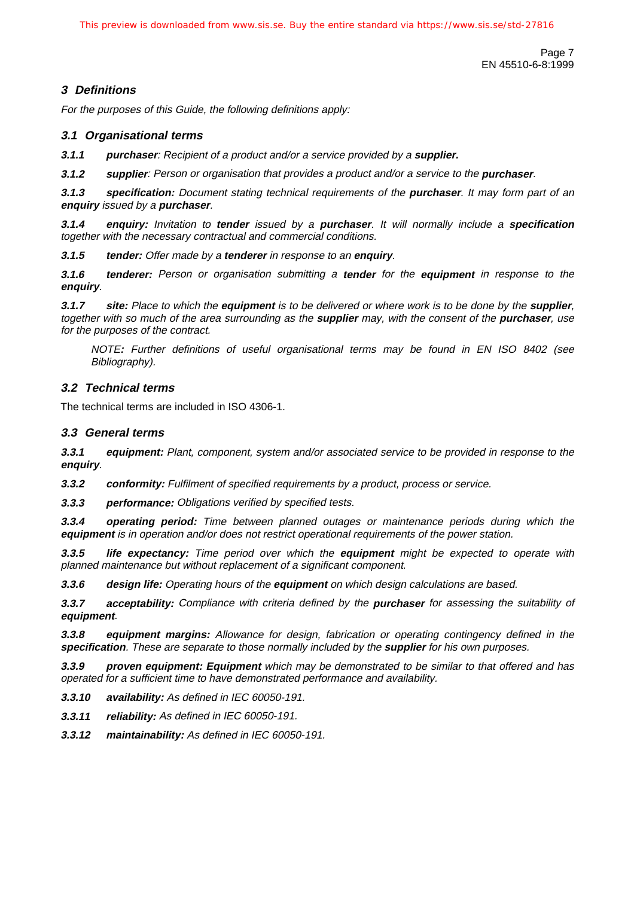This preview is downloaded from www.sis.se. Buy the entire standard via https://www.sis.se/std-27816

Page 7 EN 45510-6-8:1999

## **3 Definitions**

For the purposes of this Guide, the following definitions apply:

### **3.1 Organisational terms**

**3.1.1 purchaser**: Recipient of a product and/or a service provided by a **supplier.**

**3.1.2 supplier**: Person or organisation that provides a product and/or a service to the **purchaser**.

**3.1.3 specification:** Document stating technical requirements of the **purchaser**. It may form part of an **enquiry** issued by a **purchaser**.

**3.1.4 enquiry:** Invitation to **tender** issued by a **purchaser**. It will normally include a **specification** together with the necessary contractual and commercial conditions.

**3.1.5 tender:** Offer made by a **tenderer** in response to an **enquiry**.

**3.1.6 tenderer:** Person or organisation submitting a **tender** for the **equipment** in response to the **enquiry**.

**3.1.7 site:** Place to which the **equipment** is to be delivered or where work is to be done by the **supplier**, together with so much of the area surrounding as the **supplier** may, with the consent of the **purchaser**, use for the purposes of the contract.

NOTE**:** Further definitions of useful organisational terms may be found in EN ISO 8402 (see Bibliography).

## **3.2 Technical terms**

The technical terms are included in ISO 4306-1.

## **3.3 General terms**

**3.3.1 equipment:** Plant, component, system and/or associated service to be provided in response to the **enquiry**.

**3.3.2 conformity:** Fulfilment of specified requirements by a product, process or service.

**3.3.3 performance:** Obligations verified by specified tests.

**3.3.4 operating period:** Time between planned outages or maintenance periods during which the **equipment** is in operation and/or does not restrict operational requirements of the power station.

**3.3.5 life expectancy:** Time period over which the **equipment** might be expected to operate with planned maintenance but without replacement of a significant component.

**3.3.6 design life:** Operating hours of the **equipment** on which design calculations are based.

**3.3.7 acceptability:** Compliance with criteria defined by the **purchaser** for assessing the suitability of **equipment**.

**3.3.8 equipment margins:** Allowance for design, fabrication or operating contingency defined in the **specification**. These are separate to those normally included by the **supplier** for his own purposes.

**3.3.9 proven equipment: Equipment** which may be demonstrated to be similar to that offered and has operated for a sufficient time to have demonstrated performance and availability.

**3.3.10 availability:** As defined in IEC 60050-191.

**3.3.11 reliability:** As defined in IEC 60050-191.

**3.3.12 maintainability:** As defined in IEC 60050-191.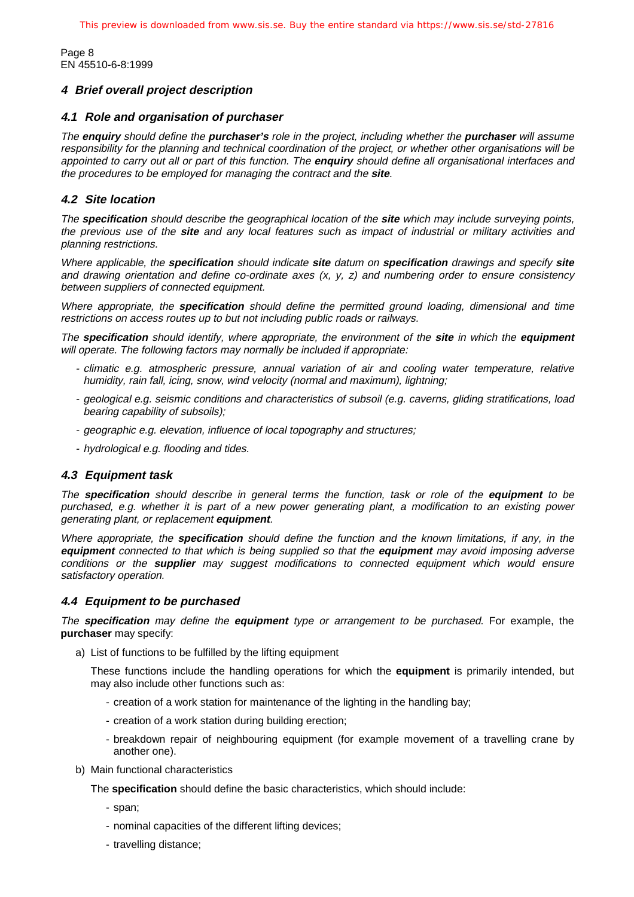Page 8 EN 45510-6-8:1999

### **4 Brief overall project description**

#### **4.1 Role and organisation of purchaser**

The **enquiry** should define the **purchaser's** role in the project, including whether the **purchaser** will assume responsibility for the planning and technical coordination of the project, or whether other organisations will be appointed to carry out all or part of this function. The **enquiry** should define all organisational interfaces and the procedures to be employed for managing the contract and the **site**.

### **4.2 Site location**

The **specification** should describe the geographical location of the **site** which may include surveying points, the previous use of the **site** and any local features such as impact of industrial or military activities and planning restrictions.

Where applicable, the **specification** should indicate **site** datum on **specification** drawings and specify **site** and drawing orientation and define co-ordinate axes (x, y, z) and numbering order to ensure consistency between suppliers of connected equipment.

Where appropriate, the **specification** should define the permitted ground loading, dimensional and time restrictions on access routes up to but not including public roads or railways.

The **specification** should identify, where appropriate, the environment of the **site** in which the **equipment** will operate. The following factors may normally be included if appropriate:

- climatic e.g. atmospheric pressure, annual variation of air and cooling water temperature, relative humidity, rain fall, icing, snow, wind velocity (normal and maximum), lightning;
- geological e.g. seismic conditions and characteristics of subsoil (e.g. caverns, gliding stratifications, load bearing capability of subsoils);
- geographic e.g. elevation, influence of local topography and structures;
- hydrological e.g. flooding and tides.

### **4.3 Equipment task**

The **specification** should describe in general terms the function, task or role of the **equipment** to be purchased, e.g. whether it is part of a new power generating plant, a modification to an existing power generating plant, or replacement **equipment**.

Where appropriate, the **specification** should define the function and the known limitations, if any, in the **equipment** connected to that which is being supplied so that the **equipment** may avoid imposing adverse conditions or the **supplier** may suggest modifications to connected equipment which would ensure satisfactory operation.

#### **4.4 Equipment to be purchased**

The **specification** may define the **equipment** type or arrangement to be purchased. For example, the **purchaser** may specify:

a) List of functions to be fulfilled by the lifting equipment

These functions include the handling operations for which the **equipment** is primarily intended, but may also include other functions such as:

- creation of a work station for maintenance of the lighting in the handling bay;
- creation of a work station during building erection;
- breakdown repair of neighbouring equipment (for example movement of a travelling crane by another one).
- b) Main functional characteristics

The **specification** should define the basic characteristics, which should include:

- span;
- nominal capacities of the different lifting devices;
- travelling distance;